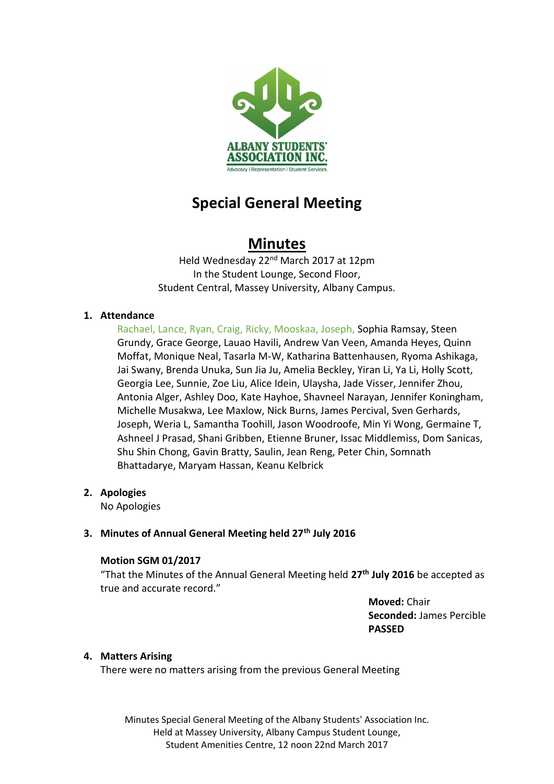

# **Special General Meeting**

## **Minutes**

Held Wednesday 22nd March 2017 at 12pm In the Student Lounge, Second Floor, Student Central, Massey University, Albany Campus.

## **1. Attendance**

Rachael, Lance, Ryan, Craig, Ricky, Mooskaa, Joseph, Sophia Ramsay, Steen Grundy, Grace George, Lauao Havili, Andrew Van Veen, Amanda Heyes, Quinn Moffat, Monique Neal, Tasarla M-W, Katharina Battenhausen, Ryoma Ashikaga, Jai Swany, Brenda Unuka, Sun Jia Ju, Amelia Beckley, Yiran Li, Ya Li, Holly Scott, Georgia Lee, Sunnie, Zoe Liu, Alice Idein, Ulaysha, Jade Visser, Jennifer Zhou, Antonia Alger, Ashley Doo, Kate Hayhoe, Shavneel Narayan, Jennifer Koningham, Michelle Musakwa, Lee Maxlow, Nick Burns, James Percival, Sven Gerhards, Joseph, Weria L, Samantha Toohill, Jason Woodroofe, Min Yi Wong, Germaine T, Ashneel J Prasad, Shani Gribben, Etienne Bruner, Issac Middlemiss, Dom Sanicas, Shu Shin Chong, Gavin Bratty, Saulin, Jean Reng, Peter Chin, Somnath Bhattadarye, Maryam Hassan, Keanu Kelbrick

**2. Apologies**

No Apologies

## **3. Minutes of Annual General Meeting held 27th July 2016**

#### **Motion SGM 01/2017**

"That the Minutes of the Annual General Meeting held **27th July 2016** be accepted as true and accurate record."

> **Moved:** Chair **Seconded:** James Percible **PASSED**

#### **4. Matters Arising**

There were no matters arising from the previous General Meeting

Minutes Special General Meeting of the Albany Students' Association Inc. Held at Massey University, Albany Campus Student Lounge, Student Amenities Centre, 12 noon 22nd March 2017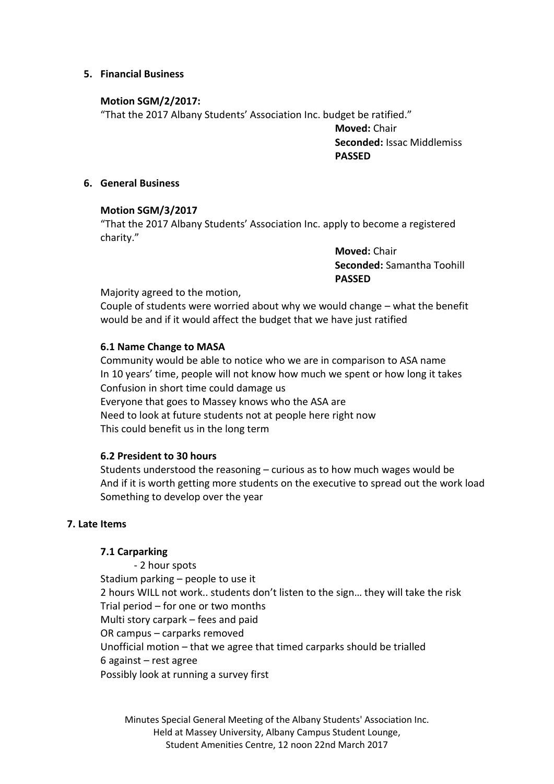#### **5. Financial Business**

#### **Motion SGM/2/2017:**

"That the 2017 Albany Students' Association Inc. budget be ratified."

**Moved:** Chair **Seconded:** Issac Middlemiss **PASSED**

#### **6. General Business**

#### **Motion SGM/3/2017**

"That the 2017 Albany Students' Association Inc. apply to become a registered charity."

> **Moved:** Chair **Seconded:** Samantha Toohill **PASSED**

Majority agreed to the motion,

Couple of students were worried about why we would change – what the benefit would be and if it would affect the budget that we have just ratified

#### **6.1 Name Change to MASA**

Community would be able to notice who we are in comparison to ASA name In 10 years' time, people will not know how much we spent or how long it takes Confusion in short time could damage us Everyone that goes to Massey knows who the ASA are Need to look at future students not at people here right now This could benefit us in the long term

#### **6.2 President to 30 hours**

Students understood the reasoning – curious as to how much wages would be And if it is worth getting more students on the executive to spread out the work load Something to develop over the year

#### **7. Late Items**

#### **7.1 Carparking**

- 2 hour spots Stadium parking – people to use it 2 hours WILL not work.. students don't listen to the sign… they will take the risk Trial period – for one or two months Multi story carpark – fees and paid OR campus – carparks removed Unofficial motion – that we agree that timed carparks should be trialled 6 against – rest agree Possibly look at running a survey first

Minutes Special General Meeting of the Albany Students' Association Inc. Held at Massey University, Albany Campus Student Lounge, Student Amenities Centre, 12 noon 22nd March 2017